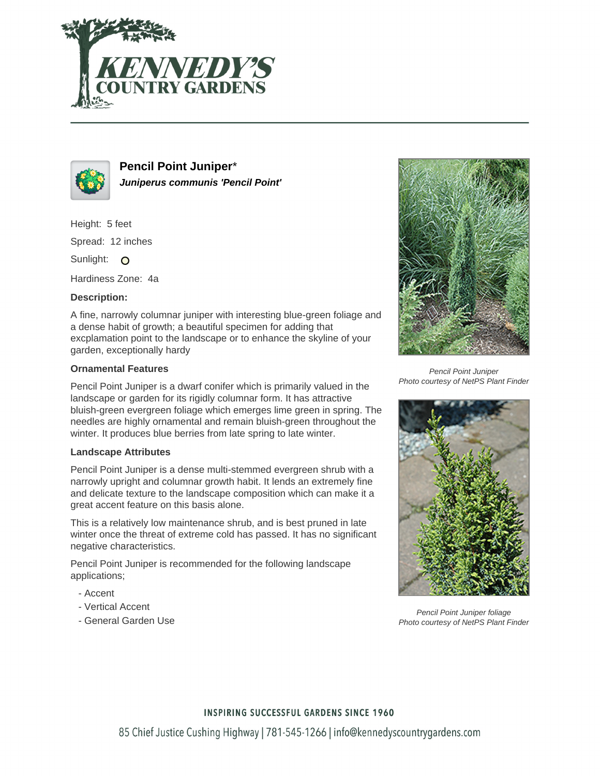



**Pencil Point Juniper**\* **Juniperus communis 'Pencil Point'**

Height: 5 feet Spread: 12 inches

Sunlight: O

Hardiness Zone: 4a

## **Description:**

A fine, narrowly columnar juniper with interesting blue-green foliage and a dense habit of growth; a beautiful specimen for adding that excplamation point to the landscape or to enhance the skyline of your garden, exceptionally hardy

### **Ornamental Features**

Pencil Point Juniper is a dwarf conifer which is primarily valued in the landscape or garden for its rigidly columnar form. It has attractive bluish-green evergreen foliage which emerges lime green in spring. The needles are highly ornamental and remain bluish-green throughout the winter. It produces blue berries from late spring to late winter.

#### **Landscape Attributes**

Pencil Point Juniper is a dense multi-stemmed evergreen shrub with a narrowly upright and columnar growth habit. It lends an extremely fine and delicate texture to the landscape composition which can make it a great accent feature on this basis alone.

This is a relatively low maintenance shrub, and is best pruned in late winter once the threat of extreme cold has passed. It has no significant negative characteristics.

Pencil Point Juniper is recommended for the following landscape applications;

- Accent
- Vertical Accent
- General Garden Use



Pencil Point Juniper Photo courtesy of NetPS Plant Finder



Pencil Point Juniper foliage Photo courtesy of NetPS Plant Finder

#### **INSPIRING SUCCESSFUL GARDENS SINCE 1960**

85 Chief Justice Cushing Highway | 781-545-1266 | info@kennedyscountrygardens.com